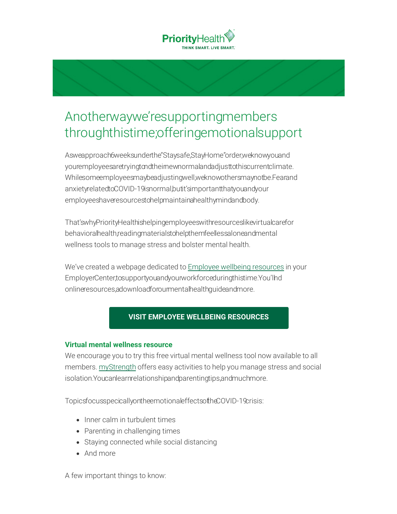

# Anotherwaywe'resupportingmembers throughthistime;offeringemotionalsupport

Asweapproach6weeksunderthe"Staysafe,StayHome"order,weknowyouand youremployeesaretryingtondtheirnewnormalandadjusttothiscurrentclimate. Whilesomeemployeesmaybeadjustingwell,weknowothersmaynotbe.Fearand anxietyrelatedtoCOVID-19isnormal,butit'simportantthatyouandyour employeeshaveresourcestohelpmaintainahealthymindandbody.

That'swhyPriorityHealthishelpingemployeeswithresourceslikevirtualcarefor behavioralhealth,readingmaterialstohelpthemfeellessaloneandmental wellness tools to manage stress and bolster mental health.

We've created a webpage dedicated to **Employee wellbeing resources** in your EmployerCenter,tosupportyouandyourworkforceduringthistime.You'llnd onlineresources,adownloadforourmentalhealthguideandmore.

# **VISIT EMPLOYEE WELLBEING RESOURCES**

#### **Virtual mental wellness resource**

We encourage you to try this free virtual mental wellness tool now available to all members. myStrength offers easy activities to help you manage stress and social isolation.Youcanlearnrelationshipandparentingtips,andmuchmore.

TopicsfocusspecicallyontheemotionaleffectsoftheCOVID-19crisis:

- Inner calm in turbulent times
- Parenting in challenging times
- Staying connected while social distancing
- And more

A few important things to know: